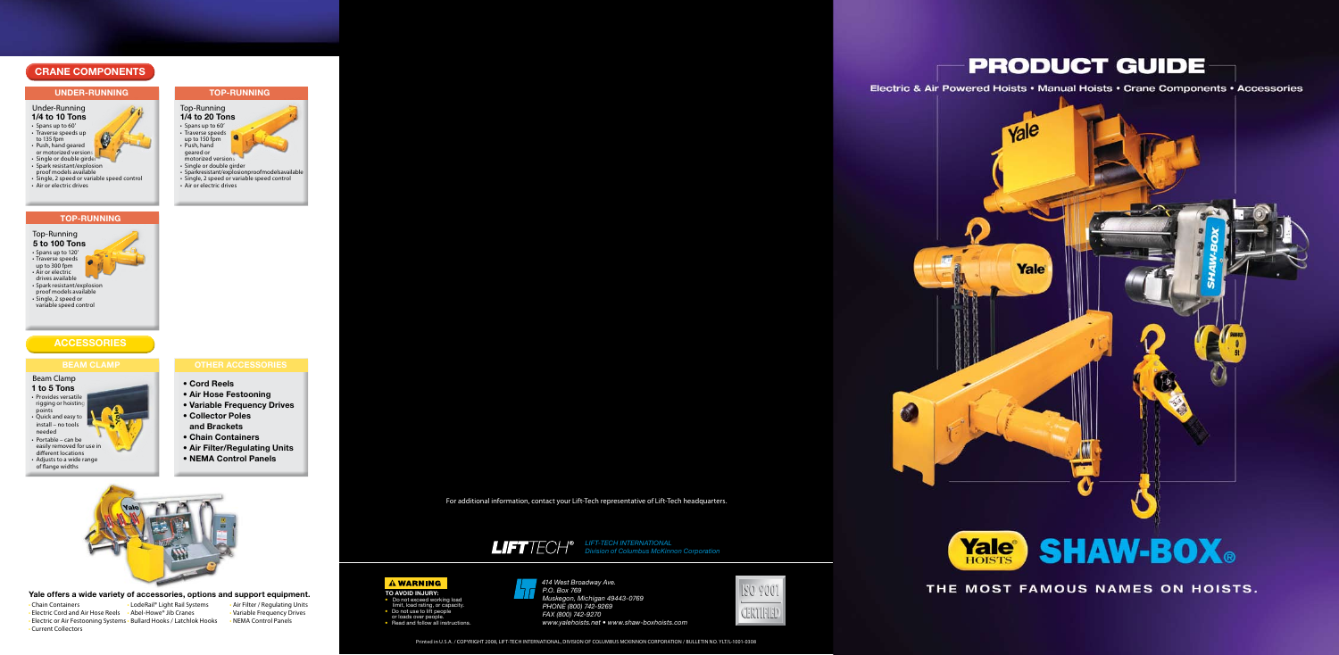# **CRANE COMPONENTS**

- 
- Traverse speeds
- up to 150 fpm
- Push, hand geared or
- motorized versions
- • Single or double girder
- • Sparkresistant/explosionproofmodelsavailable • Single, 2 speed or variable speed control
- Air or electric drives
- **TOP-RUNNING**

# **ACCESSORIES**

# **UNDER-RUNNING TOP-RUNNING**

*LIFT-TECH INTERNATIONAL Division of Columbus McKinnon Corporation*

Printed in U.S.A. / COPYRIGHT 2008, LIFT-TECH INTERNATIONAL, DIVISION OF COLUMBUS MCKINNON CORPORATION / BULLETIN NO. YLT/L-1001-0308

For additional information, contact your Lift-Tech representative of Lift-Tech headquarters.





THE MOST FAMOUS NAMES ON HOISTS.



- • Spans up to 60' • Traverse speeds up
- to 135 fpm
- Push, hand geared or motorized versions
- Single or double girde
- Spark resistant/explosion proof models available
- Single, 2 speed or variable speed control
- Air or electric drives



## Under-Running **1/4 to 10 Tons**

# Beam Clamp

- Do not exceed working load
- limit, load rating, or capacity. Do not use to lift people or loads over people.
- 
- Read and follow all instructions.
- **1 to 5 Tons** • Provides versatile rigging or hoisting points • Quick and easy to
- install no tools needed
- Portable can be easily removed for use in
- different locations • Adjusts to a wide range
- of flange widths

## **BEAM CLAMP OTHER ACCESSORIES**

- **Cord Reels**
- **Air Hose Festooning**
- **Variable Frequency Drives**
- **Collector Poles and Brackets**
- **Chain Containers**
- **Air Filter/Regulating Units**
- **NEMA Control Panels**
- 

## Top-Running **5 to 100 Tons** • Spans up to 120' • Traverse speeds up to 300 fpm • Air or electric drives available • Spark resistant/explosion proof models available • Single, 2 speed or

 variable speed control

## **Yale offers a wide variety of accessories, options and support equipment.**

- 
- Chain Containers LodeRail® Light Rail Systems Air Filter / Regulating Units • Electric Cord and Air Hose Reels • Abel-Howe® Jib Cranes
- Electric or Air Festooning Systems Bullard Hooks / Latchlok Hooks • NEMA Control Panels
- Current Collectors
- 
- 



*414 West Broadway Ave. P.O. Box 769 Muskegon, Michigan 49443-0769 PHONE (800) 742-9269 FAX (800) 742-9270 www.yalehoists.net • www.shaw-boxhoists.com*